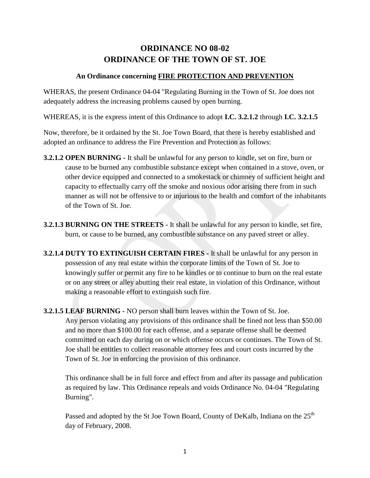## **ORDINANCE NO 08-02 ORDINANCE OF THE TOWN OF ST. JOE**

## **An Ordinance concerning FIRE PROTECTION AND PREVENTION**

WHERAS, the present Ordinance 04-04 "Regulating Burning in the Town of St. Joe does not adequately address the increasing problems caused by open burning.

WHEREAS, it is the express intent of this Ordinance to adopt **I.C. 3.2.1.2** through **I.C. 3.2.1.5**

Now, therefore, be it ordained by the St. Joe Town Board, that there is hereby established and adopted an ordinance to address the Fire Prevention and Protection as follows:

- **3.2.1.2 OPEN BURNING -** It shall be unlawful for any person to kindle, set on fire, burn or cause to be burned any combustible substance except when contained in a stove, oven, or other device equipped and connected to a smokestack or chimney of sufficient height and capacity to effectually carry off the smoke and noxious odor arising there from in such manner as will not be offensive to or injurious to the health and comfort of the inhabitants of the Town of St. Joe.
- **3.2.1.3 BURNING ON THE STREETS -** It shall be unlawful for any person to kindle, set fire, burn, or cause to be burned, any combustible substance on any paved street or alley.
- **3.2.1.4 DUTY TO EXTINGUISH CERTAIN FIRES -** It shall be unlawful for any person in possession of any real estate within the corporate limits of the Town of St. Joe to knowingly suffer or permit any fire to be kindles or to continue to burn on the real estate or on any street or alley abutting their real estate, in violation of this Ordinance, without making a reasonable effort to extinguish such fire.
- **3.2.1.5 LEAF BURNING -** NO person shall burn leaves within the Town of St. Joe. Any person violating any provisions of this ordinance shall be fined not less than \$50.00 and no more than \$100.00 for each offense, and a separate offense shall be deemed committed on each day during on or which offense occurs or continues. The Town of St. Joe shall be entitles to collect reasonable attorney fees and court costs incurred by the Town of St. Joe in enforcing the provision of this ordinance.

This ordinance shall be in full force and effect from and after its passage and publication as required by law. This Ordinance repeals and voids Ordinance No. 04-04 "Regulating Burning".

Passed and adopted by the St Joe Town Board, County of DeKalb, Indiana on the 25<sup>th</sup> day of February, 2008.